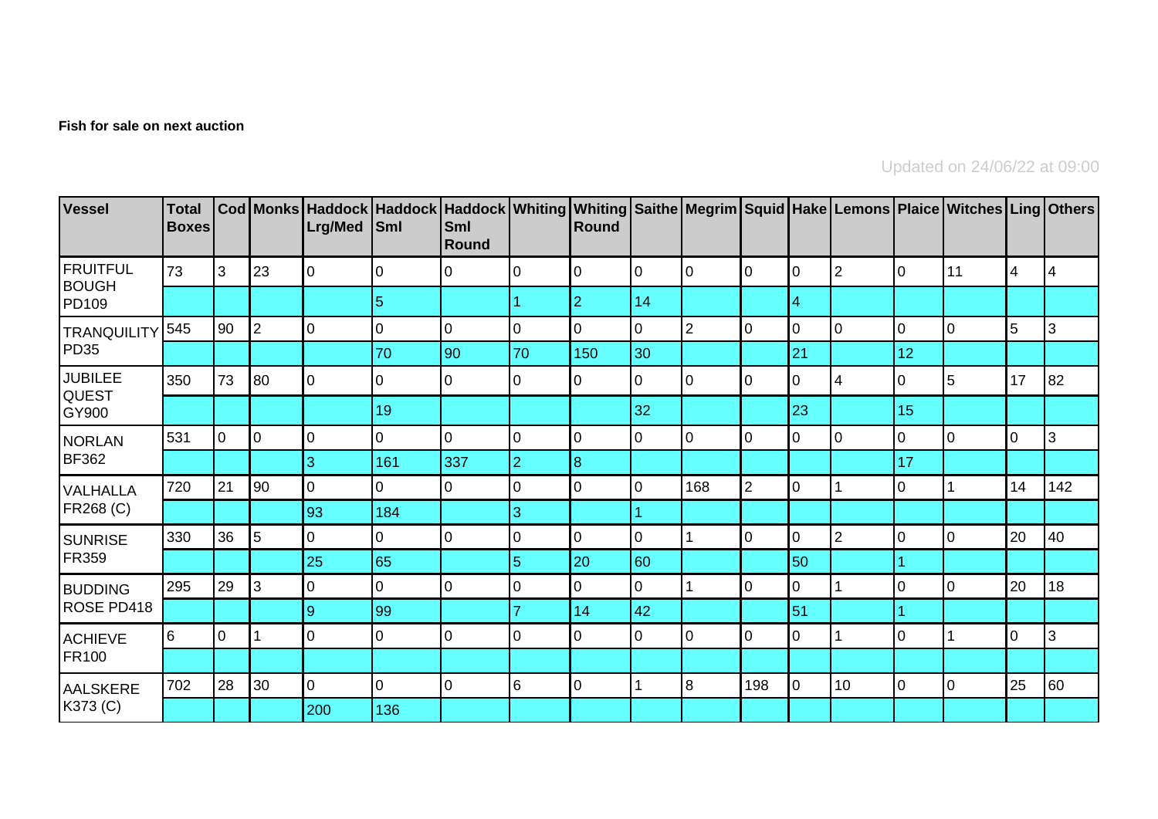## **Fish for sale on next auction**

Updated on 24/06/22 at 09:00

| Vessel                                  | <b>Total</b><br><b>Boxes</b> |                |                | Lrg/Med        | Cod Monks   Haddock   Haddock   Haddock   Whiting   Whiting   Saithe   Megrim   Squid   Hake   Lemons   Plaice   Witches   Ling   Others  <br><b>Sml</b> | Sml<br>Round   |                | Round          |                |                |                |                |                |                  |    |                |     |
|-----------------------------------------|------------------------------|----------------|----------------|----------------|----------------------------------------------------------------------------------------------------------------------------------------------------------|----------------|----------------|----------------|----------------|----------------|----------------|----------------|----------------|------------------|----|----------------|-----|
| FRUITFUL<br><b>BOUGH</b><br>PD109       | 73                           | 3              | 23             | 0              | $\Omega$                                                                                                                                                 | 0              | 0              | 0              | l0             | 0              | 10             | 10             | 2              | $\mathbf 0$      | 11 | $\overline{4}$ | 4   |
|                                         |                              |                |                |                | 5                                                                                                                                                        |                |                | $\overline{2}$ | 14             |                |                | 4              |                |                  |    |                |     |
| <b>TRANQUILITY</b><br>PD35              | 545                          | 90             | $\overline{2}$ | 0              | 0                                                                                                                                                        | $\overline{0}$ | $\mathbf 0$    | $\overline{0}$ | $\overline{0}$ | $\overline{2}$ | $\overline{0}$ | 10             | $\overline{0}$ | $\boldsymbol{0}$ | l0 | 5              | 3   |
|                                         |                              |                |                |                | 70                                                                                                                                                       | 90             | 70             | 150            | 30             |                |                | 21             |                | 12               |    |                |     |
| <b>JUBILEE</b><br><b>QUEST</b><br>GY900 | 350                          | 73             | 80             | lo             | 0                                                                                                                                                        | 0              | 0              | 0              | 10             | 0              | 10             | $\overline{0}$ | $\overline{4}$ | 0                | 5  | 17             | 82  |
|                                         |                              |                |                |                | 19                                                                                                                                                       |                |                |                | 32             |                |                | 23             |                | 15               |    |                |     |
| NORLAN<br><b>BF362</b>                  | 531                          | 0              | $\overline{0}$ | $\mathbf 0$    | 0                                                                                                                                                        | $\mathbf 0$    | 0              | 0              | 10             | 0              | $\mathbf 0$    | $\overline{0}$ | 0              | $\overline{0}$   | 10 | $\overline{0}$ | 3   |
|                                         |                              |                |                | 3              | 161                                                                                                                                                      | 337            | $\overline{2}$ | $\overline{8}$ |                |                |                |                |                | 17               |    |                |     |
| VALHALLA<br>FR268 (C)                   | 720                          | 21             | 90             | $\mathbf 0$    | 0                                                                                                                                                        | 0              | $\Omega$       | $\Omega$       | 0              | 168            | $\overline{2}$ | $\overline{0}$ |                | 0                |    | 14             | 142 |
|                                         |                              |                |                | 93             | 184                                                                                                                                                      |                | 3              |                |                |                |                |                |                |                  |    |                |     |
| SUNRISE<br><b>FR359</b>                 | 330                          | 36             | $\overline{5}$ | 0              | 0                                                                                                                                                        | 0              | $\Omega$       | 0              | $\overline{0}$ |                | l0             | $\overline{0}$ | 2              | $\mathbf 0$      | l0 | 20             | 40  |
|                                         |                              |                |                | 25             | 65                                                                                                                                                       |                | 5              | 20             | 60             |                |                | 50             |                |                  |    |                |     |
| <b>BUDDING</b><br>ROSE PD418            | 295                          | 29             | $\mathbf{3}$   | $\mathbf 0$    | 0                                                                                                                                                        | 0              | O              | 0              | 0              |                | l0             | $\Omega$       |                | $\mathbf 0$      | l0 | 20             | 18  |
|                                         |                              |                |                | $9\,$          | 99                                                                                                                                                       |                |                | 14             | 42             |                |                | 51             |                |                  |    |                |     |
| <b>ACHIEVE</b><br><b>FR100</b>          | 6                            | $\overline{0}$ |                | $\mathbf 0$    | 0                                                                                                                                                        | 0              | 0              | 0              | 0              | 0              | l0             | $\overline{0}$ |                | $\overline{0}$   |    | I٥             | 3   |
|                                         |                              |                |                |                |                                                                                                                                                          |                |                |                |                |                |                |                |                |                  |    |                |     |
| AALSKERE<br>K373 (C)                    | 702                          | 28             | 30             | $\overline{0}$ | $\overline{0}$                                                                                                                                           | $\overline{0}$ | 6              | 0              |                | 8              | 198            | $\overline{0}$ | 10             | $\mathbf 0$      | ١o | 25             | 60  |
|                                         |                              |                |                | 200            | 136                                                                                                                                                      |                |                |                |                |                |                |                |                |                  |    |                |     |